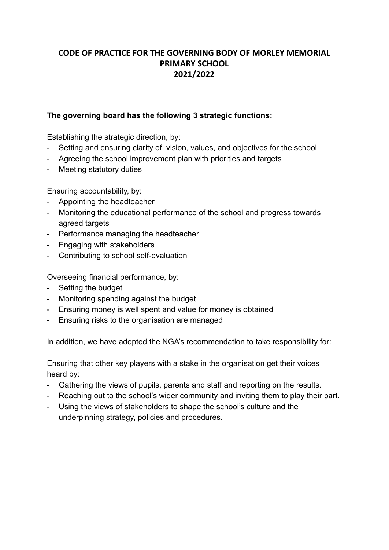# **CODE OF PRACTICE FOR THE GOVERNING BODY OF MORLEY MEMORIAL PRIMARY SCHOOL 2021/2022**

### **The governing board has the following 3 strategic functions:**

Establishing the strategic direction, by:

- Setting and ensuring clarity of vision, values, and objectives for the school
- Agreeing the school improvement plan with priorities and targets
- Meeting statutory duties

Ensuring accountability, by:

- Appointing the headteacher
- Monitoring the educational performance of the school and progress towards agreed targets
- Performance managing the headteacher
- Engaging with stakeholders
- Contributing to school self-evaluation

Overseeing financial performance, by:

- Setting the budget
- Monitoring spending against the budget
- Ensuring money is well spent and value for money is obtained
- Ensuring risks to the organisation are managed

In addition, we have adopted the NGA's recommendation to take responsibility for:

Ensuring that other key players with a stake in the organisation get their voices heard by:

- Gathering the views of pupils, parents and staff and reporting on the results.
- Reaching out to the school's wider community and inviting them to play their part.
- Using the views of stakeholders to shape the school's culture and the underpinning strategy, policies and procedures.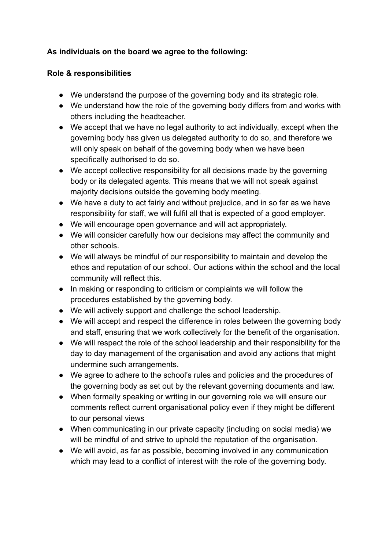# **As individuals on the board we agree to the following:**

## **Role & responsibilities**

- We understand the purpose of the governing body and its strategic role.
- We understand how the role of the governing body differs from and works with others including the headteacher.
- We accept that we have no legal authority to act individually, except when the governing body has given us delegated authority to do so, and therefore we will only speak on behalf of the governing body when we have been specifically authorised to do so.
- We accept collective responsibility for all decisions made by the governing body or its delegated agents. This means that we will not speak against majority decisions outside the governing body meeting.
- We have a duty to act fairly and without prejudice, and in so far as we have responsibility for staff, we will fulfil all that is expected of a good employer.
- We will encourage open governance and will act appropriately.
- We will consider carefully how our decisions may affect the community and other schools.
- We will always be mindful of our responsibility to maintain and develop the ethos and reputation of our school. Our actions within the school and the local community will reflect this.
- In making or responding to criticism or complaints we will follow the procedures established by the governing body.
- We will actively support and challenge the school leadership.
- We will accept and respect the difference in roles between the governing body and staff, ensuring that we work collectively for the benefit of the organisation.
- We will respect the role of the school leadership and their responsibility for the day to day management of the organisation and avoid any actions that might undermine such arrangements.
- We agree to adhere to the school's rules and policies and the procedures of the governing body as set out by the relevant governing documents and law.
- When formally speaking or writing in our governing role we will ensure our comments reflect current organisational policy even if they might be different to our personal views
- When communicating in our private capacity (including on social media) we will be mindful of and strive to uphold the reputation of the organisation.
- We will avoid, as far as possible, becoming involved in any communication which may lead to a conflict of interest with the role of the governing body.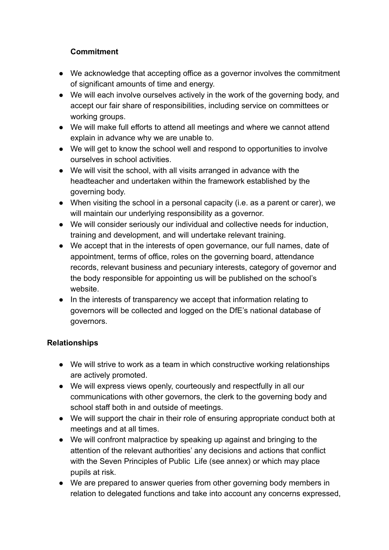# **Commitment**

- We acknowledge that accepting office as a governor involves the commitment of significant amounts of time and energy.
- We will each involve ourselves actively in the work of the governing body, and accept our fair share of responsibilities, including service on committees or working groups.
- We will make full efforts to attend all meetings and where we cannot attend explain in advance why we are unable to.
- We will get to know the school well and respond to opportunities to involve ourselves in school activities.
- We will visit the school, with all visits arranged in advance with the headteacher and undertaken within the framework established by the governing body.
- When visiting the school in a personal capacity (i.e. as a parent or carer), we will maintain our underlying responsibility as a governor.
- We will consider seriously our individual and collective needs for induction, training and development, and will undertake relevant training.
- We accept that in the interests of open governance, our full names, date of appointment, terms of office, roles on the governing board, attendance records, relevant business and pecuniary interests, category of governor and the body responsible for appointing us will be published on the school's website.
- In the interests of transparency we accept that information relating to governors will be collected and logged on the DfE's national database of governors.

## **Relationships**

- We will strive to work as a team in which constructive working relationships are actively promoted.
- We will express views openly, courteously and respectfully in all our communications with other governors, the clerk to the governing body and school staff both in and outside of meetings.
- We will support the chair in their role of ensuring appropriate conduct both at meetings and at all times.
- We will confront malpractice by speaking up against and bringing to the attention of the relevant authorities' any decisions and actions that conflict with the Seven Principles of Public Life (see annex) or which may place pupils at risk.
- We are prepared to answer queries from other governing body members in relation to delegated functions and take into account any concerns expressed,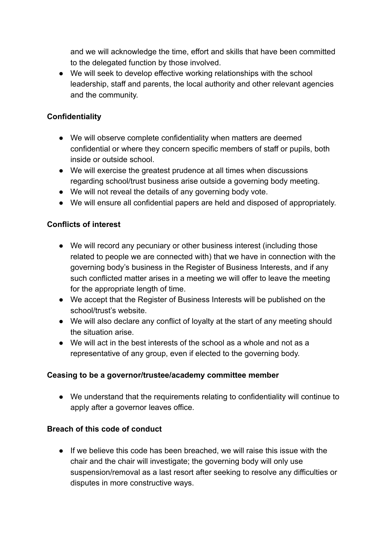and we will acknowledge the time, effort and skills that have been committed to the delegated function by those involved.

● We will seek to develop effective working relationships with the school leadership, staff and parents, the local authority and other relevant agencies and the community.

## **Confidentiality**

- We will observe complete confidentiality when matters are deemed confidential or where they concern specific members of staff or pupils, both inside or outside school.
- We will exercise the greatest prudence at all times when discussions regarding school/trust business arise outside a governing body meeting.
- We will not reveal the details of any governing body vote.
- We will ensure all confidential papers are held and disposed of appropriately.

## **Conflicts of interest**

- We will record any pecuniary or other business interest (including those related to people we are connected with) that we have in connection with the governing body's business in the Register of Business Interests, and if any such conflicted matter arises in a meeting we will offer to leave the meeting for the appropriate length of time.
- We accept that the Register of Business Interests will be published on the school/trust's website.
- We will also declare any conflict of loyalty at the start of any meeting should the situation arise.
- We will act in the best interests of the school as a whole and not as a representative of any group, even if elected to the governing body.

### **Ceasing to be a governor/trustee/academy committee member**

● We understand that the requirements relating to confidentiality will continue to apply after a governor leaves office.

### **Breach of this code of conduct**

● If we believe this code has been breached, we will raise this issue with the chair and the chair will investigate; the governing body will only use suspension/removal as a last resort after seeking to resolve any difficulties or disputes in more constructive ways.